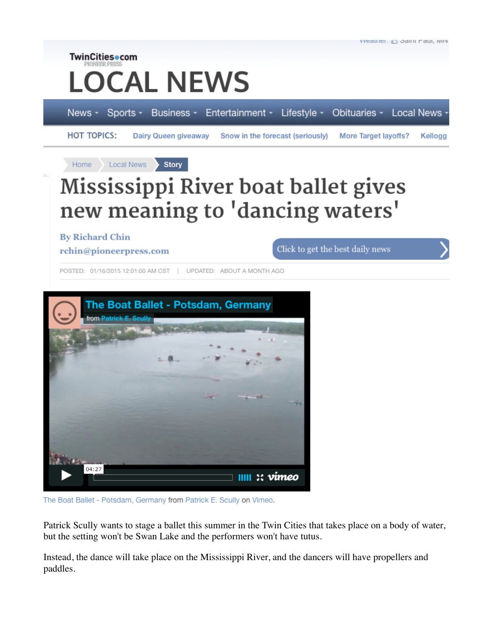

VYCQUICI, #3 Odilil Faul, IVIIV

**By Richard Chin** 

**TwinCities** com

News -

Home

**HOT TOPICS:** 

rchin@pioneerpress.com

Click to get the best daily news

POSTED: 01/16/2015 12:01:00 AM CST | UPDATED: ABOUT A MONTH AGO



The Boat Ballet - Potsdam, Germany from Patrick E. Scully on Vimeo.

Patrick Scully wants to stage a ballet this summer in the Twin Cities that takes place on a body of water, but the setting won't be Swan Lake and the performers won't have tutus.

Instead, the dance will take place on the Mississippi River, and the dancers will have propellers and paddles.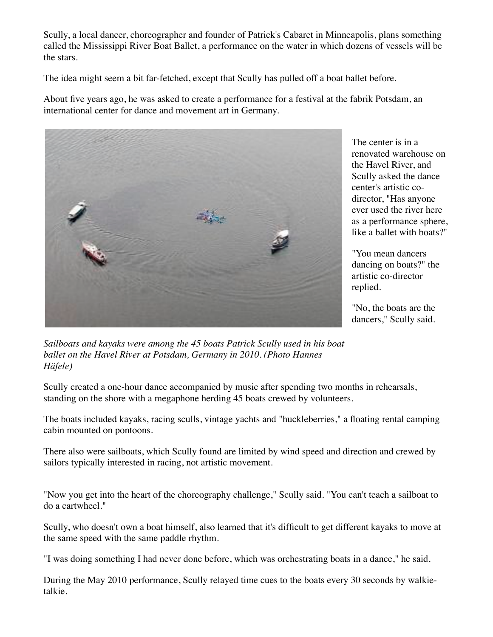Scully, a local dancer, choreographer and founder of Patrick's Cabaret in Minneapolis, plans something called the Mississippi River Boat Ballet, a performance on the water in which dozens of vessels will be the stars.

The idea might seem a bit far-fetched, except that Scully has pulled off a boat ballet before.

About five years ago, he was asked to create a performance for a festival at the fabrik Potsdam, an international center for dance and movement art in Germany.



The center is in a renovated warehouse on the Havel River, and Scully asked the dance center's artistic codirector, "Has anyone ever used the river here as a performance sphere, like a ballet with boats?"

"You mean dancers dancing on boats?" the artistic co-director replied.

"No, the boats are the dancers," Scully said.

*Sailboats and kayaks were among the 45 boats Patrick Scully used in his boat ballet on the Havel River at Potsdam, Germany in 2010. (Photo Hannes Häfele)*

Scully created a one-hour dance accompanied by music after spending two months in rehearsals, standing on the shore with a megaphone herding 45 boats crewed by volunteers.

The boats included kayaks, racing sculls, vintage yachts and "huckleberries," a floating rental camping cabin mounted on pontoons.

There also were sailboats, which Scully found are limited by wind speed and direction and crewed by sailors typically interested in racing, not artistic movement.

"Now you get into the heart of the choreography challenge," Scully said. "You can't teach a sailboat to do a cartwheel."

Scully, who doesn't own a boat himself, also learned that it's difficult to get different kayaks to move at the same speed with the same paddle rhythm.

"I was doing something I had never done before, which was orchestrating boats in a dance," he said.

During the May 2010 performance, Scully relayed time cues to the boats every 30 seconds by walkietalkie.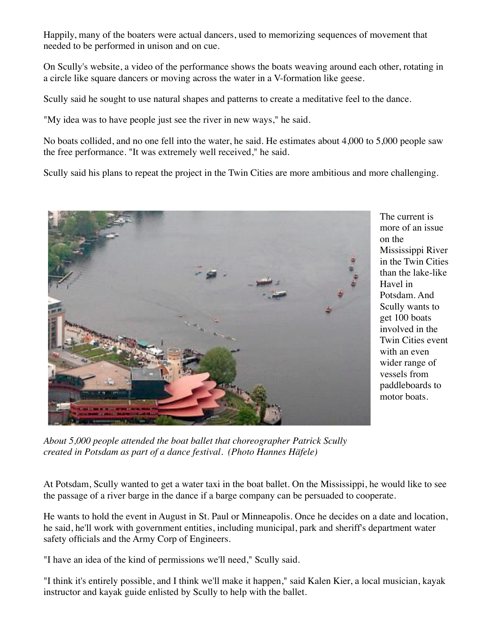Happily, many of the boaters were actual dancers, used to memorizing sequences of movement that needed to be performed in unison and on cue.

On Scully's website, a video of the performance shows the boats weaving around each other, rotating in a circle like square dancers or moving across the water in a V-formation like geese.

Scully said he sought to use natural shapes and patterns to create a meditative feel to the dance.

"My idea was to have people just see the river in new ways," he said.

No boats collided, and no one fell into the water, he said. He estimates about 4,000 to 5,000 people saw the free performance. "It was extremely well received," he said.

Scully said his plans to repeat the project in the Twin Cities are more ambitious and more challenging.



The current is more of an issue on the Mississippi River in the Twin Cities than the lake-like Havel in Potsdam. And Scully wants to get 100 boats involved in the Twin Cities event with an even wider range of vessels from paddleboards to motor boats.

*About 5,000 people attended the boat ballet that choreographer Patrick Scully created in Potsdam as part of a dance festival. (Photo Hannes Häfele)*

At Potsdam, Scully wanted to get a water taxi in the boat ballet. On the Mississippi, he would like to see the passage of a river barge in the dance if a barge company can be persuaded to cooperate.

He wants to hold the event in August in St. Paul or Minneapolis. Once he decides on a date and location, he said, he'll work with government entities, including municipal, park and sheriff's department water safety officials and the Army Corp of Engineers.

"I have an idea of the kind of permissions we'll need," Scully said.

"I think it's entirely possible, and I think we'll make it happen," said Kalen Kier, a local musician, kayak instructor and kayak guide enlisted by Scully to help with the ballet.